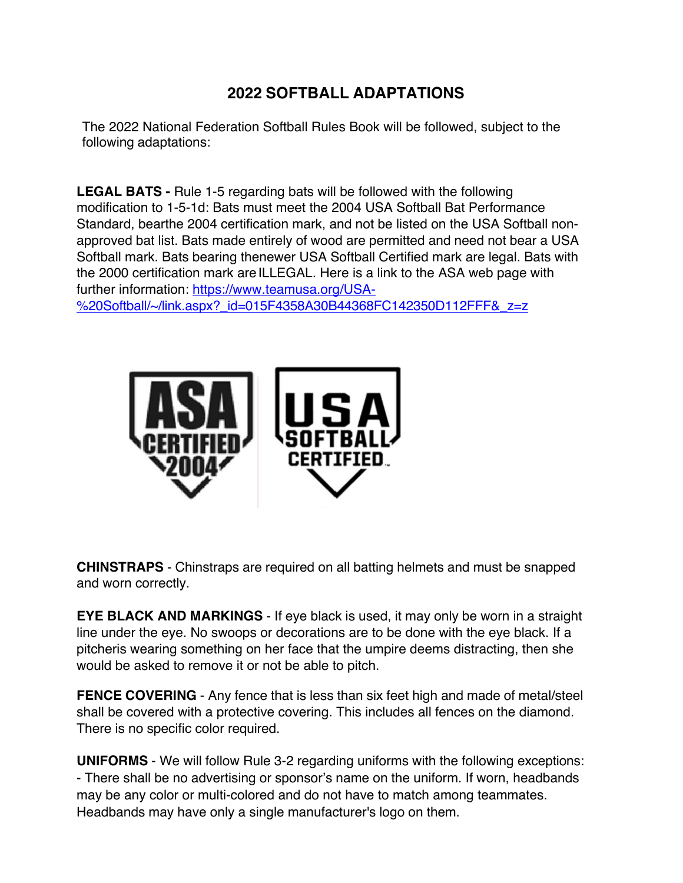## **2022 SOFTBALL ADAPTATIONS**

The 2022 National Federation Softball Rules Book will be followed, subject to the following adaptations:

**LEGAL BATS -** Rule 1-5 regarding bats will be followed with the following modification to 1-5-1d: Bats must meet the 2004 USA Softball Bat Performance Standard, bearthe 2004 certification mark, and not be listed on the USA Softball nonapproved bat list. Bats made entirely of wood are permitted and need not bear a USA Softball mark. Bats bearing thenewer USA Softball Certified mark are legal. Bats with the 2000 certification mark areILLEGAL. Here is a link to the ASA web page with further information: https://www.teamusa.org/USA-

%20Softball/~/link.aspx?\_id=015F4358A30B44368FC142350D112FFF&\_z=z



**CHINSTRAPS** - Chinstraps are required on all batting helmets and must be snapped and worn correctly.

**EYE BLACK AND MARKINGS** - If eye black is used, it may only be worn in a straight line under the eye. No swoops or decorations are to be done with the eye black. If a pitcheris wearing something on her face that the umpire deems distracting, then she would be asked to remove it or not be able to pitch.

**FENCE COVERING** - Any fence that is less than six feet high and made of metal/steel shall be covered with a protective covering. This includes all fences on the diamond. There is no specific color required.

**UNIFORMS** - We will follow Rule 3-2 regarding uniforms with the following exceptions: - There shall be no advertising or sponsor's name on the uniform. If worn, headbands may be any color or multi-colored and do not have to match among teammates. Headbands may have only a single manufacturer's logo on them.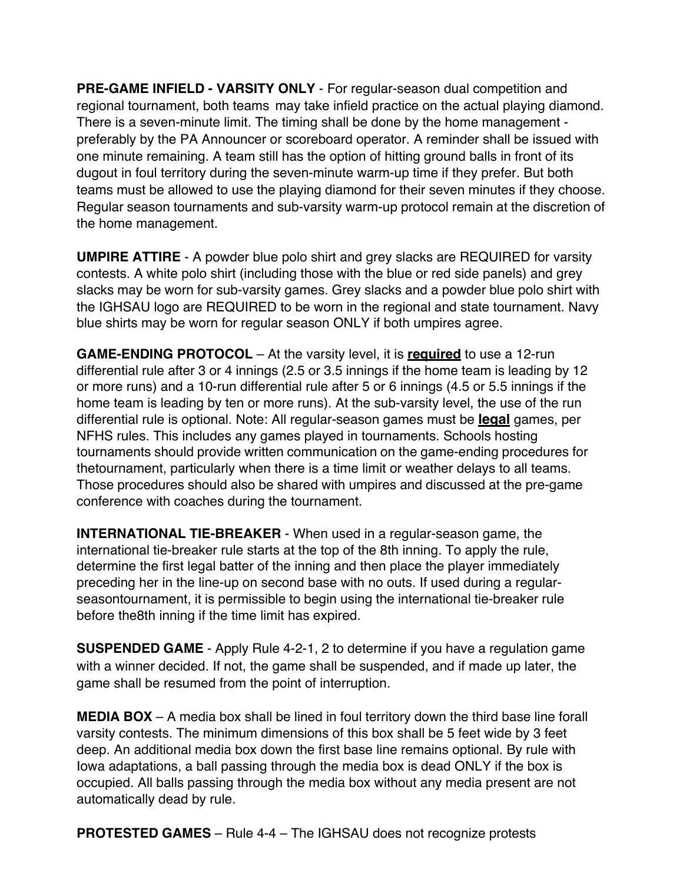**PRE-GAME INFIELD - VARSITY ONLY** - For regular-season dual competition and regional tournament, both teams may take infield practice on the actual playing diamond. There is a seven-minute limit. The timing shall be done by the home management preferably by the PA Announcer or scoreboard operator. A reminder shall be issued with one minute remaining. A team still has the option of hitting ground balls in front of its dugout in foul territory during the seven-minute warm-up time if they prefer. But both teams must be allowed to use the playing diamond for their seven minutes if they choose. Regular season tournaments and sub-varsity warm-up protocol remain at the discretion of the home management.

**UMPIRE ATTIRE** - A powder blue polo shirt and grey slacks are REQUIRED for varsity contests. A white polo shirt (including those with the blue or red side panels) and grey slacks may be worn for sub-varsity games. Grey slacks and a powder blue polo shirt with the IGHSAU logo are REQUIRED to be worn in the regional and state tournament. Navy blue shirts may be worn for regular season ONLY if both umpires agree.

**GAME-ENDING PROTOCOL** – At the varsity level, it is **required** to use a 12-run differential rule after 3 or 4 innings (2.5 or 3.5 innings if the home team is leading by 12 or more runs) and a 10-run differential rule after 5 or 6 innings (4.5 or 5.5 innings if the home team is leading by ten or more runs). At the sub-varsity level, the use of the run differential rule is optional. Note: All regular-season games must be **legal** games, per NFHS rules. This includes any games played in tournaments. Schools hosting tournaments should provide written communication on the game-ending procedures for thetournament, particularly when there is a time limit or weather delays to all teams. Those procedures should also be shared with umpires and discussed at the pre-game conference with coaches during the tournament.

**INTERNATIONAL TIE-BREAKER** - When used in a regular-season game, the international tie-breaker rule starts at the top of the 8th inning. To apply the rule, determine the first legal batter of the inning and then place the player immediately preceding her in the line-up on second base with no outs. If used during a regularseasontournament, it is permissible to begin using the international tie-breaker rule before the8th inning if the time limit has expired.

**SUSPENDED GAME** - Apply Rule 4-2-1, 2 to determine if you have a regulation game with a winner decided. If not, the game shall be suspended, and if made up later, the game shall be resumed from the point of interruption.

**MEDIA BOX** – A media box shall be lined in foul territory down the third base line forall varsity contests. The minimum dimensions of this box shall be 5 feet wide by 3 feet deep. An additional media box down the first base line remains optional. By rule with Iowa adaptations, a ball passing through the media box is dead ONLY if the box is occupied. All balls passing through the media box without any media present are not automatically dead by rule.

**PROTESTED GAMES** – Rule 4-4 – The IGHSAU does not recognize protests